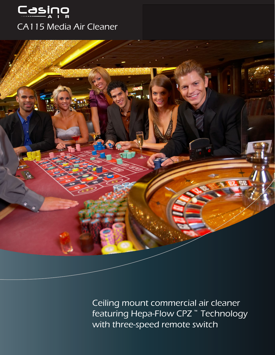



Ceiling mount commercial air cleaner featuring Hepa-Flow CPZ **™** Technology with three-speed remote switch